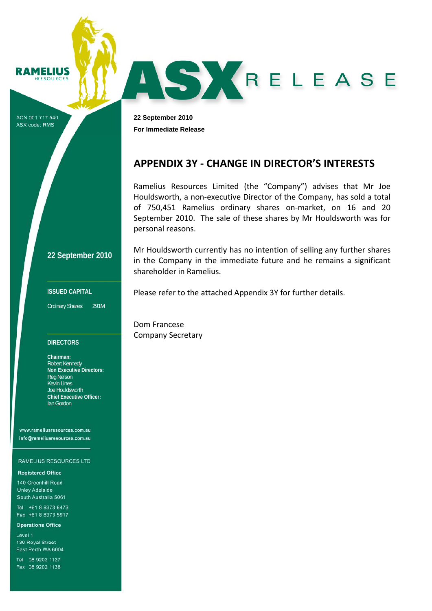**RAMELIUS RESOURCES** 

ACN 001 717 540 ASX code: RMS

**22 September 2010 For Immediate Release** 

## **APPENDIX 3Y ‐ CHANGE IN DIRECTOR'S INTERESTS**

AS KRELEASE

Ramelius Resources Limited (the "Company") advises that Mr Joe Houldsworth, a non‐executive Director of the Company, has sold a total of 750,451 Ramelius ordinary shares on‐market, on 16 and 20 September 2010. The sale of these shares by Mr Houldsworth was for personal reasons.

Mr Houldsworth currently has no intention of selling any further shares in the Company in the immediate future and he remains a significant

**22 September 2010**

#### **ISSUED CAPITAL**

Ordinary Shares: 291M

#### **DIRECTORS**

**Chairman:**  Robert Kennedy **Non Executive Directors:**  Reg Nelson Kevin Lines Joe Houldsworth **Chief Executive Officer:**  Ian Gordon

www.rameliusresources.com.au info@rameliusresources.com.au

#### **RAMELIUS RESOURCES LTD**

#### **Registered Office**

140 Greenhill Road **Unley Adelaide** South Australia 5061

Tel +61 8 8373 6473 Fax +61 8 8373 5917

#### **Operations Office**

Level 1 130 Royal Street East Perth WA 6004

Tel 08 9202 1127 Fax 08 9202 1138 Please refer to the attached Appendix 3Y for further details.

Dom Francese Company Secretary

shareholder in Ramelius.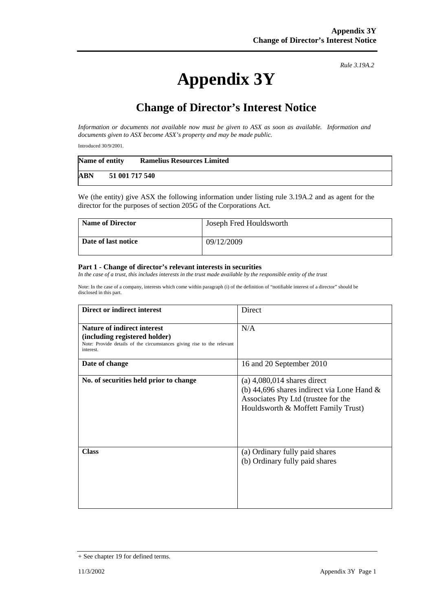# **Appendix 3Y**

*Rule 3.19A.2*

# **Change of Director's Interest Notice**

*Information or documents not available now must be given to ASX as soon as available. Information and documents given to ASX become ASX's property and may be made public.* 

Introduced 30/9/2001.

| Name of entity |                | <b>Ramelius Resources Limited</b> |
|----------------|----------------|-----------------------------------|
| ABN            | 51 001 717 540 |                                   |

We (the entity) give ASX the following information under listing rule 3.19A.2 and as agent for the director for the purposes of section 205G of the Corporations Act.

| <b>Name of Director</b> | Joseph Fred Houldsworth |
|-------------------------|-------------------------|
| Date of last notice     | 09/12/2009              |

#### **Part 1 - Change of director's relevant interests in securities**

In the case of a trust, this includes interests in the trust made available by the responsible entity of the trust

Note: In the case of a company, interests which come within paragraph (i) of the definition of "notifiable interest of a director" should be disclosed in this part.

| Direct or indirect interest                                                                                                                         | Direct                                                                                                                                                       |
|-----------------------------------------------------------------------------------------------------------------------------------------------------|--------------------------------------------------------------------------------------------------------------------------------------------------------------|
| Nature of indirect interest<br>(including registered holder)<br>Note: Provide details of the circumstances giving rise to the relevant<br>interest. | N/A                                                                                                                                                          |
| Date of change                                                                                                                                      | 16 and 20 September 2010                                                                                                                                     |
| No. of securities held prior to change                                                                                                              | $(a)$ 4,080,014 shares direct<br>(b) 44,696 shares indirect via Lone Hand $\&$<br>Associates Pty Ltd (trustee for the<br>Houldsworth & Moffett Family Trust) |
| <b>Class</b>                                                                                                                                        | (a) Ordinary fully paid shares<br>(b) Ordinary fully paid shares                                                                                             |

<sup>+</sup> See chapter 19 for defined terms.